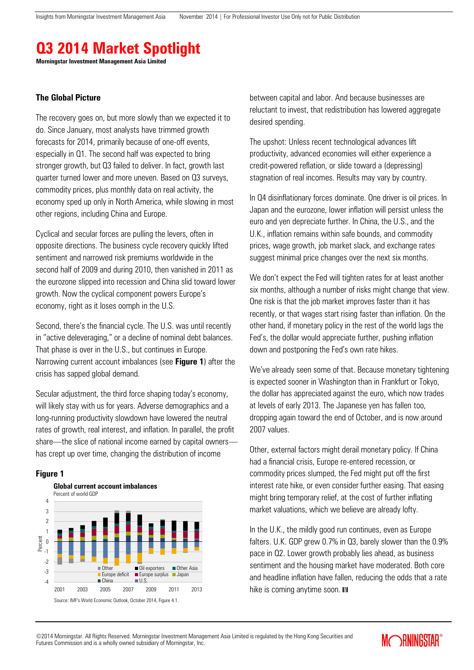# **Q3 2014 Market Spotlight**

**Morningstar Investment Management Asia Limited**

#### **The Global Picture**

The recovery goes on, but more slowly than we expected it to do. Since January, most analysts have trimmed growth forecasts for 2014, primarily because of one-off events, especially in Q1. The second half was expected to bring stronger growth, but Q3 failed to deliver. In fact, growth last quarter turned lower and more uneven. Based on Q3 surveys, commodity prices, plus monthly data on real activity, the economy sped up only in North America, while slowing in most other regions, including China and Europe.

Cyclical and secular forces are pulling the levers, often in opposite directions. The business cycle recovery quickly lifted sentiment and narrowed risk premiums worldwide in the second half of 2009 and during 2010, then vanished in 2011 as the eurozone slipped into recession and China slid toward lower growth. Now the cyclical component powers Europe's economy, right as it loses oomph in the U.S.

Second, there's the financial cycle. The U.S. was until recently in "active deleveraging," or a decline of nominal debt balances. That phase is over in the U.S., but continues in Europe. Narrowing current account imbalances (see **Figure 1**) after the crisis has sapped global demand.

Secular adjustment, the third force shaping today's economy, will likely stay with us for years. Adverse demographics and a long-running productivity slowdown have lowered the neutral rates of growth, real interest, and inflation. In parallel, the profit share—the slice of national income earned by capital owners has crept up over time, changing the distribution of income

#### **Figure 1**



between capital and labor. And because businesses are reluctant to invest, that redistribution has lowered aggregate desired spending.

The upshot: Unless recent technological advances lift productivity, advanced economies will either experience a credit-powered reflation, or slide toward a (depressing) stagnation of real incomes. Results may vary by country.

In Q4 disinflationary forces dominate. One driver is oil prices. In Japan and the eurozone, lower inflation will persist unless the euro and yen depreciate further. In China, the U.S., and the U.K., inflation remains within safe bounds, and commodity prices, wage growth, job market slack, and exchange rates suggest minimal price changes over the next six months.

We don't expect the Fed will tighten rates for at least another six months, although a number of risks might change that view. One risk is that the job market improves faster than it has recently, or that wages start rising faster than inflation. On the other hand, if monetary policy in the rest of the world lags the Fed's, the dollar would appreciate further, pushing inflation down and postponing the Fed's own rate hikes.

We've already seen some of that. Because monetary tightening is expected sooner in Washington than in Frankfurt or Tokyo, the dollar has appreciated against the euro, which now trades at levels of early 2013. The Japanese yen has fallen too, dropping again toward the end of October, and is now around 2007 values.

Other, external factors might derail monetary policy. If China had a financial crisis, Europe re-entered recession, or commodity prices slumped, the Fed might put off the first interest rate hike, or even consider further easing. That easing might bring temporary relief, at the cost of further inflating market valuations, which we believe are already lofty.

In the U.K., the mildly good run continues, even as Europe falters. U.K. GDP grew 0.7% in Q3, barely slower than the 0.9% pace in Q2. Lower growth probably lies ahead, as business sentiment and the housing market have moderated. Both core and headline inflation have fallen, reducing the odds that a rate hike is coming anytime soon.  $M$ 

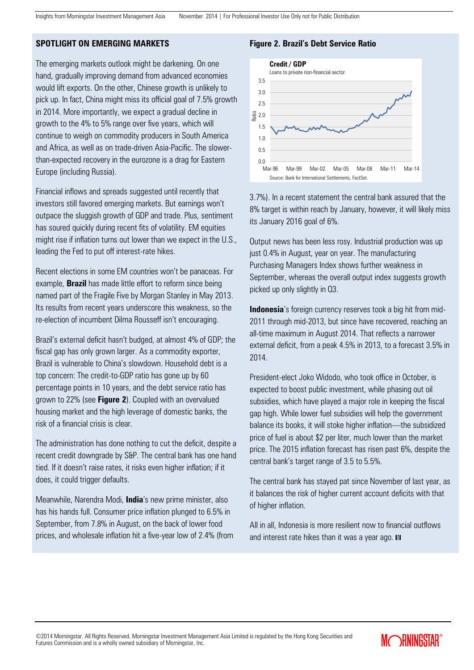## **SPOTLIGHT ON EMERGING MARKETS**

The emerging markets outlook might be darkening. On one hand, gradually improving demand from advanced economies would lift exports. On the other, Chinese growth is unlikely to pick up. In fact, China might miss its official goal of 7.5% growth in 2014. More importantly, we expect a gradual decline in growth to the 4% to 5% range over five years, which will continue to weigh on commodity producers in South America and Africa, as well as on trade-driven Asia-Pacific. The slowerthan-expected recovery in the eurozone is a drag for Eastern Europe (including Russia).

Financial inflows and spreads suggested until recently that investors still favored emerging markets. But earnings won't outpace the sluggish growth of GDP and trade. Plus, sentiment has soured quickly during recent fits of volatility. EM equities might rise if inflation turns out lower than we expect in the U.S., leading the Fed to put off interest-rate hikes.

Recent elections in some EM countries won't be panaceas. For example, **Brazil** has made little effort to reform since being named part of the Fragile Five by Morgan Stanley in May 2013. Its results from recent years underscore this weakness, so the re-election of incumbent Dilma Rousseff isn't encouraging.

Brazil's external deficit hasn't budged, at almost 4% of GDP; the fiscal gap has only grown larger. As a commodity exporter, Brazil is vulnerable to China's slowdown. Household debt is a top concern: The credit-to-GDP ratio has gone up by 60 percentage points in 10 years, and the debt service ratio has grown to 22% (see **Figure 2**). Coupled with an overvalued housing market and the high leverage of domestic banks, the risk of a financial crisis is clear.

The administration has done nothing to cut the deficit, despite a recent credit downgrade by S&P. The central bank has one hand tied. If it doesn't raise rates, it risks even higher inflation; if it does, it could trigger defaults.

Meanwhile, Narendra Modi, **India**'s new prime minister, also has his hands full. Consumer price inflation plunged to 6.5% in September, from 7.8% in August, on the back of lower food prices, and wholesale inflation hit a five-year low of 2.4% (from

## **Figure 2. Brazil's Debt Service Ratio**



3.7%). In a recent statement the central bank assured that the 8% target is within reach by January, however, it will likely miss its January 2016 goal of 6%.

Output news has been less rosy. Industrial production was up just 0.4% in August, year on year. The manufacturing Purchasing Managers Index shows further weakness in September, whereas the overall output index suggests growth picked up only slightly in Q3.

**Indonesia**'s foreign currency reserves took a big hit from mid-2011 through mid-2013, but since have recovered, reaching an all-time maximum in August 2014. That reflects a narrower external deficit, from a peak 4.5% in 2013, to a forecast 3.5% in 2014.

President-elect Joko Widodo, who took office in October, is expected to boost public investment, while phasing out oil subsidies, which have played a major role in keeping the fiscal gap high. While lower fuel subsidies will help the government balance its books, it will stoke higher inflation—the subsidized price of fuel is about \$2 per liter, much lower than the market price. The 2015 inflation forecast has risen past 6%, despite the central bank's target range of 3.5 to 5.5%.

The central bank has stayed pat since November of last year, as it balances the risk of higher current account deficits with that of higher inflation.

All in all, Indonesia is more resilient now to financial outflows and interest rate hikes than it was a year ago.  $M$ 

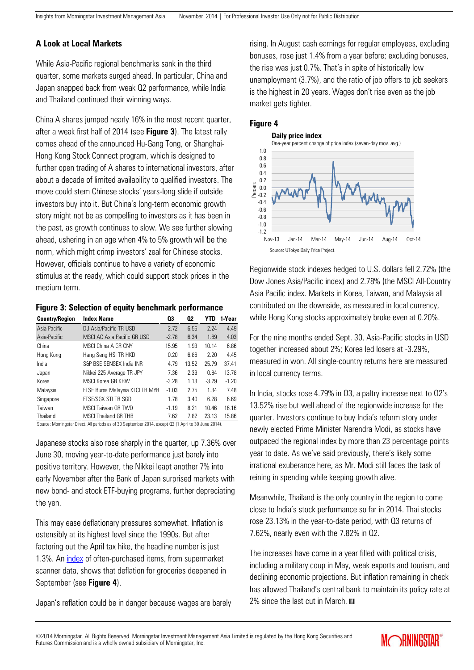# **A Look at Local Markets**

While Asia-Pacific regional benchmarks sank in the third quarter, some markets surged ahead. In particular, China and Japan snapped back from weak Q2 performance, while India and Thailand continued their winning ways.

China A shares jumped nearly 16% in the most recent quarter, after a weak first half of 2014 (see **Figure 3**). The latest rally comes ahead of the announced Hu-Gang Tong, or Shanghai-Hong Kong Stock Connect program, which is designed to further open trading of A shares to international investors, after about a decade of limited availability to qualified investors. The move could stem Chinese stocks' years-long slide if outside investors buy into it. But China's long-term economic growth story might not be as compelling to investors as it has been in the past, as growth continues to slow. We see further slowing ahead, ushering in an age when 4% to 5% growth will be the norm, which might crimp investors' zeal for Chinese stocks. However, officials continue to have a variety of economic stimulus at the ready, which could support stock prices in the medium term.

# **Figure 3: Selection of equity benchmark performance**

| <b>Country/Region</b> | <b>Index Name</b>                  | 03      | 02    | YTD     | 1-Year  |
|-----------------------|------------------------------------|---------|-------|---------|---------|
| Asia-Pacific          | DJ Asia/Pacific TR USD             | $-2.72$ | 6.56  | 2.24    | 4.49    |
| Asia-Pacific          | <b>MSCI AC Asia Pacific GR USD</b> | $-2.78$ | 6.34  | 1.69    | 4.03    |
| China                 | MSCI China A GR CNY                | 15.95   | 1.93  | 10.14   | 6.86    |
| Hong Kong             | Hang Seng HSI TR HKD               | 0.20    | 6.86  | 2.20    | 4.45    |
| India                 | S&P BSF SENSEX India INR           | 4.79    | 13.52 | 25.79   | 37.41   |
| Japan                 | Nikkei 225 Average TR JPY          | 7.36    | 2.39  | 0.84    | 13.78   |
| Korea                 | MSCI Korea GR KRW                  | $-3.28$ | 1.13  | $-3.29$ | $-1.20$ |
| Malaysia              | FTSE Bursa Malaysia KLCI TR MYR    | $-1.03$ | 2.75  | 1.34    | 7.48    |
| Singapore             | FTSE/SGX STI TR SGD                | 1.78    | 3.40  | 6.28    | 6.69    |
| Taiwan                | MSCI Taiwan GR TWD                 | $-1.19$ | 8.21  | 10.46   | 16.16   |
| Thailand              | <b>MSCI Thailand GR THB</b>        | 7.62    | 7.82  | 23.13   | 15.86   |

Source: Morningstar Direct. All periods as of 30 September 2014, except Q2 (1 April to 30 June 2014).

Japanese stocks also rose sharply in the quarter, up 7.36% over June 30, moving year-to-date performance just barely into positive territory. However, the Nikkei leapt another 7% into early November after the Bank of Japan surprised markets with new bond- and stock ETF-buying programs, further depreciating the yen.

This may ease deflationary pressures somewhat. Inflation is ostensibly at its highest level since the 1990s. But after factoring out the April tax hike, the headline number is just 1.3%. A[n index](http://www.cmdlab.co.jp/price_u-tokyo/monthly_e) of often-purchased items, from supermarket scanner data, shows that deflation for groceries deepened in September (see **Figure 4**).

Japan's reflation could be in danger because wages are barely

rising. In August cash earnings for regular employees, excluding bonuses, rose just 1.4% from a year before; excluding bonuses, the rise was just 0.7%. That's in spite of historically low unemployment (3.7%), and the ratio of job offers to job seekers is the highest in 20 years. Wages don't rise even as the job market gets tighter.

#### **Figure 4**



Regionwide stock indexes hedged to U.S. dollars fell 2.72% (the Dow Jones Asia/Pacific index) and 2.78% (the MSCI All-Country Asia Pacific index. Markets in Korea, Taiwan, and Malaysia all contributed on the downside, as measured in local currency, while Hong Kong stocks approximately broke even at 0.20%.

For the nine months ended Sept. 30, Asia-Pacific stocks in USD together increased about 2%; Korea led losers at -3.29%, measured in won. All single-country returns here are measured in local currency terms.

In India, stocks rose 4.79% in Q3, a paltry increase next to Q2's 13.52% rise but well ahead of the regionwide increase for the quarter. Investors continue to buy India's reform story under newly elected Prime Minister Narendra Modi, as stocks have outpaced the regional index by more than 23 percentage points year to date. As we've said previously, there's likely some irrational exuberance here, as Mr. Modi still faces the task of reining in spending while keeping growth alive.

Meanwhile, Thailand is the only country in the region to come close to India's stock performance so far in 2014. Thai stocks rose 23.13% in the year-to-date period, with Q3 returns of 7.62%, nearly even with the 7.82% in Q2.

The increases have come in a year filled with political crisis, including a military coup in May, weak exports and tourism, and declining economic projections. But inflation remaining in check has allowed Thailand's central bank to maintain its policy rate at 2% since the last cut in March. IM